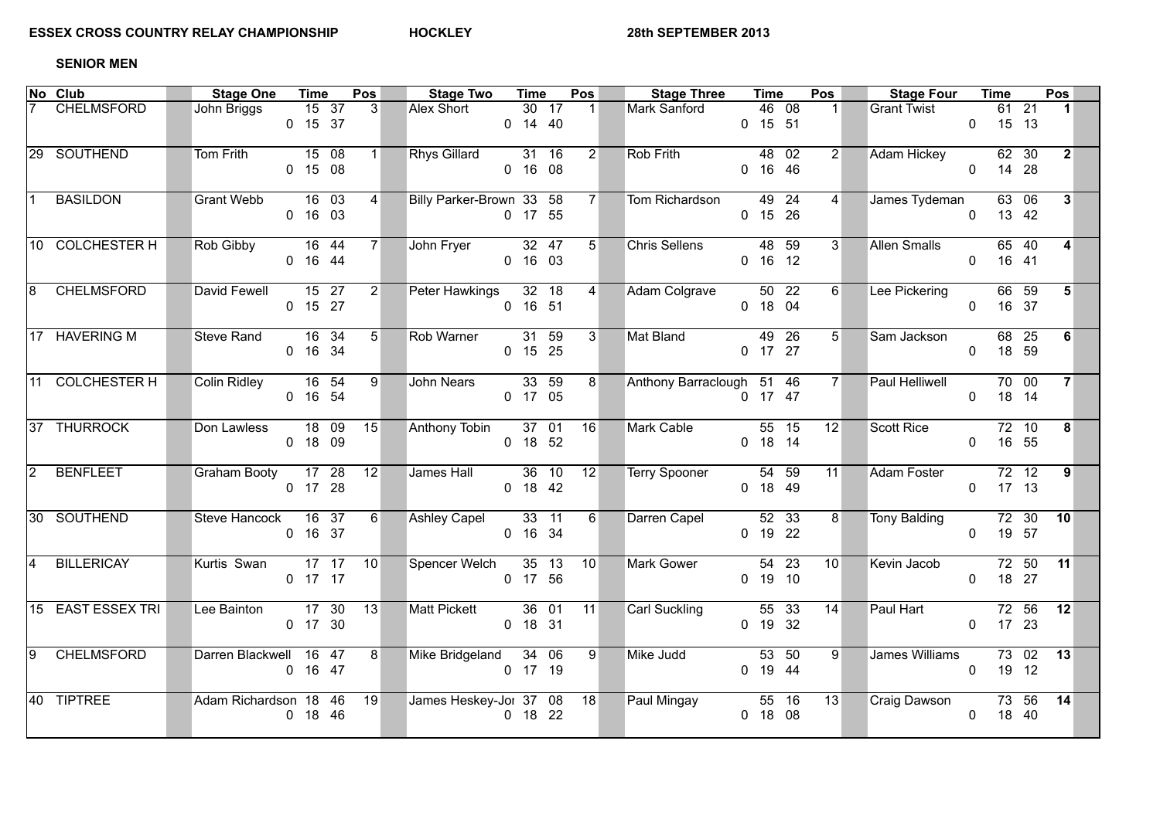## **SENIOR MEN**

|            | $\overline{\mathsf{No}}$ Club | <b>Stage One</b>       | <b>Time</b>                   |         | Pos |                        | <b>Stage Two</b>         | <b>Time</b> |                    | Pos            | <b>Stage Three</b>        | <b>Time</b>          | Pos            | <b>Stage Four</b>   |                | <b>Time</b>          |       | Pos                     |  |
|------------|-------------------------------|------------------------|-------------------------------|---------|-----|------------------------|--------------------------|-------------|--------------------|----------------|---------------------------|----------------------|----------------|---------------------|----------------|----------------------|-------|-------------------------|--|
|            | <b>CHELMSFORD</b>             | John Briggs            | 0 15 37                       | $15$ 37 | 3   |                        | Alex Short               | $0$ 14 40   | 30 17              | $\blacksquare$ | Mark Sanford              | 46 08<br>$0$ 15 51   | 1 <sup>1</sup> | <b>Grant Twist</b>  |                | $61$ 21<br>$0$ 15 13 |       | $\mathbf{1}$            |  |
|            | 29 SOUTHEND                   | Tom Frith              | $15\quad08$<br>$0$ 15 08      |         |     | $1 \quad \blacksquare$ | Rhys Gillard 31 16       | 0, 16, 08   |                    | $2^{\mid}$     | Rob Frith                 | 48 02<br>$0$ 16 46   | $2^{\sim}$     | <b>Adam Hickey</b>  |                | 62 30<br>$0$ 14 28   |       | 2                       |  |
|            | <b>BASILDON</b>               | <b>Grant Webb</b>      | $0$ 16 03                     | $16$ 03 |     | 4                      | Billy Parker-Brown 33 58 | 0 17 55     |                    | 7              | Tom Richardson            | $49$ 24<br>$0$ 15 26 | 4              | James Tydeman       |                | 63 06<br>$0$ 13 42   |       | $\overline{\mathbf{3}}$ |  |
|            | 10 COLCHESTER H               | Rob Gibby              | $\overline{16}$ 44<br>0 16 44 |         |     | 7                      | John Fryer 32 47         | 0, 16, 03   |                    | 5 <sup>7</sup> | <b>Chris Sellens</b>      | 48 59<br>$0$ 16 12   | 3 <sup>1</sup> | <b>Allen Smalls</b> | $\Omega$       | $65$ 40<br>16 41     |       | $\overline{\mathbf{4}}$ |  |
|            | <b>CHELMSFORD</b>             | David Fewell 15 27     | $0$ 15 27                     |         |     | 2                      | Peter Hawkings 32 18     | $0$ 16 51   |                    | $\overline{4}$ | Adam Colgrave             | 50 22<br>$0$ 18 04   | $6 \Box$       | Lee Pickering       |                | 66 59<br>0 16 37     |       | 5                       |  |
|            | 17 HAVERING M                 | <b>Steve Rand</b>      | 0 16 34                       | $16$ 34 |     | 5                      | Rob Warner               | $0$ 15 25   | $\overline{31}$ 59 | $\overline{3}$ | Mat Bland                 | 49 26<br>0 17 27     | 5 <sup>1</sup> | Sam Jackson         | $\overline{0}$ | 68 25<br>18 59       |       | 6                       |  |
|            | 11 COLCHESTER H               | Colin Ridley           | 0 16 54                       | 16 54   | 9   |                        | John Nears               | 0 17 05     | $\overline{33}$ 59 | 8 <sup>1</sup> | Anthony Barraclough 51 46 | $0$ 17 47            | $7^{\circ}$    | Paul Helliwell      |                | 70 00<br>$0$ 18 14   |       | 7 <sup>1</sup>          |  |
|            | 37 THURROCK                   | Don Lawless            | $0$ 18 09                     | $18$ 09 | 15  |                        | Anthony Tobin            | $0$ 18 52   | $37 \quad 01$      | 16             | <b>Mark Cable</b>         | 55 15<br>$0$ 18 14   | 12             | <b>Scott Rice</b>   |                | 72 10<br>0 16 55     |       | 8                       |  |
| $\sqrt{2}$ | <b>BENFLEET</b>               | Graham Booty 17 28     | 0 17 28                       |         | 12  |                        | James Hall 36 10         | $0$ 18 42   |                    | 12             | <b>Terry Spooner</b>      | $54$ 59<br>0 18 49   | 11             | <b>Adam Foster</b>  |                | $72$ 12<br>$0$ 17 13 |       | $\mathbf{9}$            |  |
|            | 30 SOUTHEND                   | Steve Hancock 16 37    | 0 16 37                       |         |     | 6                      | <b>Ashley Capel</b>      | 0 16 34     | $33 \quad 11$      | 6              | Darren Capel              | $52$ 33<br>$0$ 19 22 | 8              | <b>Tony Balding</b> |                | 0 19 57              |       | 72 30 10                |  |
|            | <b>BILLERICAY</b>             | Kurtis Swan 17 17 10   | $0$ 17 17                     |         |     |                        | Spencer Welch 35 13      | 0 17 56     |                    | 10             | Mark Gower                | $54$ 23<br>$0$ 19 10 | 10             | Kevin Jacob         |                | $0$ 18 27            |       | 72 50 11                |  |
|            | 15 EAST ESSEX TRI             | Lee Bainton            | $17 \t30$<br>0 17 30          |         | 13  |                        | Matt Pickett             | $0$ 18 31   | $36 \t 01$         | 11             | Carl Suckling             | 55 33<br>$0$ 19 32   | 14             | Paul Hart           |                | $0$ 17 23            | 72 56 | 12                      |  |
|            | 9 CHELMSFORD                  | Darren Blackwell 16 47 | $0$ 16 47                     |         |     | $8^{\circ}$            | Mike Bridgeland 34 06    | $0$ 17 19   |                    | 9              | Mike Judd                 | 53 50<br>0 19 44     | 9              | James Williams      |                | $0$ 19 12            |       | $7302$ 13               |  |
|            | 40 TIPTREE                    | Adam Richardson 18 46  | $0$ 18 46                     |         | 19  |                        | James Heskey-Jol 37 08   | $0$ 18 22   |                    | 18             | Paul Mingay               | 55 16<br>$0$ 18 08   | 13             | Craig Dawson        | $\Omega$       | 18 40                | 73 56 | 14                      |  |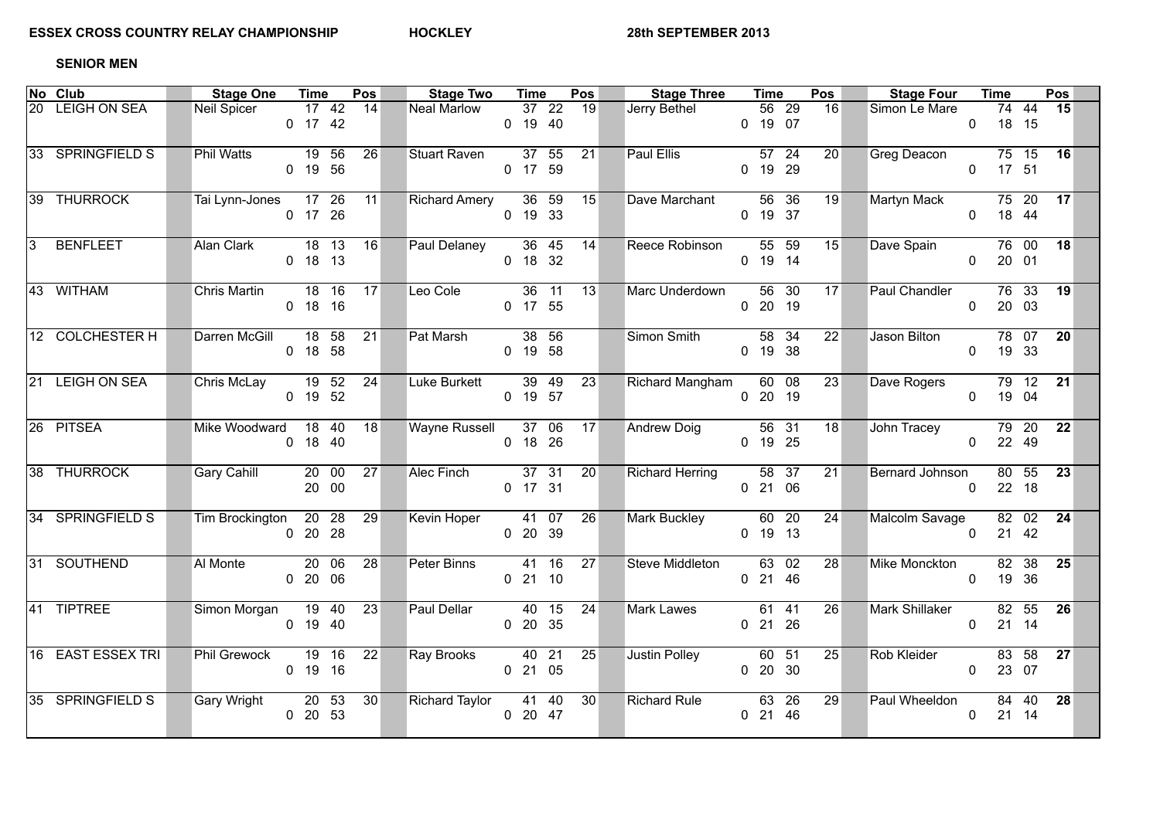## **SENIOR MEN**

|            | <b>No Club</b>    | Stage One Time        |                                 | Pos             |    | <b>Stage Two</b>      | <b>Time</b>                   | Pos             | <b>Stage Three</b>     | Time      |             | Pos             | <b>Stage Four</b>    |          | Time                 |       | Pos      |  |
|------------|-------------------|-----------------------|---------------------------------|-----------------|----|-----------------------|-------------------------------|-----------------|------------------------|-----------|-------------|-----------------|----------------------|----------|----------------------|-------|----------|--|
|            | 20 LEIGH ON SEA   | Neil Spicer           | 0 17 42                         | $17$ 42 14      |    | <b>Neal Marlow</b>    | 37 22 19<br>$0$ 19 40         |                 | Jerry Bethel           | 0 19 07   | 56 29       | 16              | Simon Le Mare        |          | $0$ 18 15            |       | 74 44 15 |  |
|            | 33 SPRINGFIELD S  | <b>Phil Watts</b>     | 19 56<br>0 19 56                | 26              |    | Stuart Raven          | 37 55<br>0 17 59              | 21              | Paul Ellis             | 0 19 29   | 57 24       | 20 <sup>2</sup> | Greg Deacon          |          | 75 15<br>$0$ 17 51   |       | 16       |  |
|            | 39 THURROCK       | Tai Lynn-Jones 17 26  | 0 17 26                         | 11              |    | <b>Richard Amery</b>  | $36$ 59<br>0 19 33            | 15              | Dave Marchant          | $0$ 19 37 | 56 36       | 19              | Martyn Mack          |          | $75$ 20<br>$0$ 18 44 |       | 17       |  |
| $\sqrt{3}$ | <b>BENFLEET</b>   | Alan Clark            | $18 \t13$<br>$0$ 18 13          | 16              |    | Paul Delaney          | $\overline{36}$ 45<br>0 18 32 | 14              | Reece Robinson         | $0$ 19 14 | $55\quad59$ | 15              | Dave Spain           | $\Omega$ | 20 01                | 76 00 | 18       |  |
|            | 43 WITHAM         | <b>Chris Martin</b>   | $18 \t16$<br>$0$ 18 16          | 17              |    | Leo Cole              | $36 \quad 11$<br>0 17 55      | 13 <sup>1</sup> | Marc Underdown         | $0$ 20 19 | 56 30       | 17              | Paul Chandler        |          | $0$ 20 03            |       | 76 33 19 |  |
|            | 12 COLCHESTER H   | Darren McGill 18 58   | $0$ 18 58                       | $\overline{21}$ |    | Pat Marsh             | 38 56<br>$0$ 19 58            |                 | Simon Smith            | $0$ 19 38 | 58 34       | $\overline{22}$ | Jason Bilton         |          | $0$ 19 33            |       | 78 07 20 |  |
|            | 21 LEIGH ON SEA   | Chris McLay 19 52 24  | 0 19 52                         |                 |    | Luke Burkett          | 39 49<br>0 19 57              | $\overline{23}$ | <b>Richard Mangham</b> | $0$ 20 19 | 60 08       | 23              | Dave Rogers          |          | 0 19 04              |       | 79 12 21 |  |
|            | 26 PITSEA         | Mike Woodward 18 40   | $0$ 18 40                       | $\overline{18}$ |    | Wayne Russell 37 06   | $0$ 18 26                     | 17              | <b>Andrew Doig</b>     | $0$ 19 25 | 56 31       | 18              | John Tracey          |          | $0$ 22 49            | 79 20 | 22       |  |
|            | 38 THURROCK       | Gary Cahill           | $20\quad00$<br>20 00            | 27              |    | Alec Finch 37 31      | $0$ 17 31                     | 20              | <b>Richard Herring</b> | $0$ 21 06 | 58 37       | 21              | Bernard Johnson      | $\Omega$ | 22 18                | 80 55 | 23       |  |
|            | 34 SPRINGFIELD S  | Tim Brockington 20 28 | 02028                           |                 | 29 | Kevin Hoper 41 07     | 0 20 39                       | $\overline{26}$ | Mark Buckley           | $0$ 19 13 | $60$ 20     | 24              | Malcolm Savage       |          | $0$ 21 42            |       | 82 02 24 |  |
|            | 31 SOUTHEND       | Al Monte              | $\overline{20}$ 06<br>0, 20, 06 | $\overline{28}$ |    | Peter Binns           | $41 \t16$<br>$0$ 21 10        | 27              | Steve Middleton        | $0$ 21 46 | 63 02       | $\overline{28}$ | <b>Mike Monckton</b> | $\Omega$ | 19 36                | 82 38 | 25       |  |
|            | 41 TIPTREE        | Simon Morgan 19 40    | 0 19 40                         | 23              |    | Paul Dellar           | $40$ 15<br>0 20 35            | 24              | <b>Mark Lawes</b>      | $0$ 21 26 | 61 41       | 26              | Mark Shillaker       |          | $0$ 21 14            | 82 55 | 26       |  |
|            | 16 EAST ESSEX TRI | <b>Phil Grewock</b>   | 19 16<br>$0$ 19 16              | 22              |    | Ray Brooks            | $40\quad21$<br>0 21 05        | 25              | Justin Polley          | $0$ 20 30 | 60 51       | 25              | Rob Kleider          |          | $0$ 23 07            | 83 58 | 27       |  |
|            | 35 SPRINGFIELD S  | Gary Wright           | 20 53<br>$0$ 20 53              | 30 <sup>2</sup> |    | <b>Richard Taylor</b> | 41 40<br>$0$ 20 47            | 30              | <b>Richard Rule</b>    | 0 21 46   | 63 26       | 29              | Paul Wheeldon        | $\Omega$ | 21 14                | 84 40 | 28       |  |